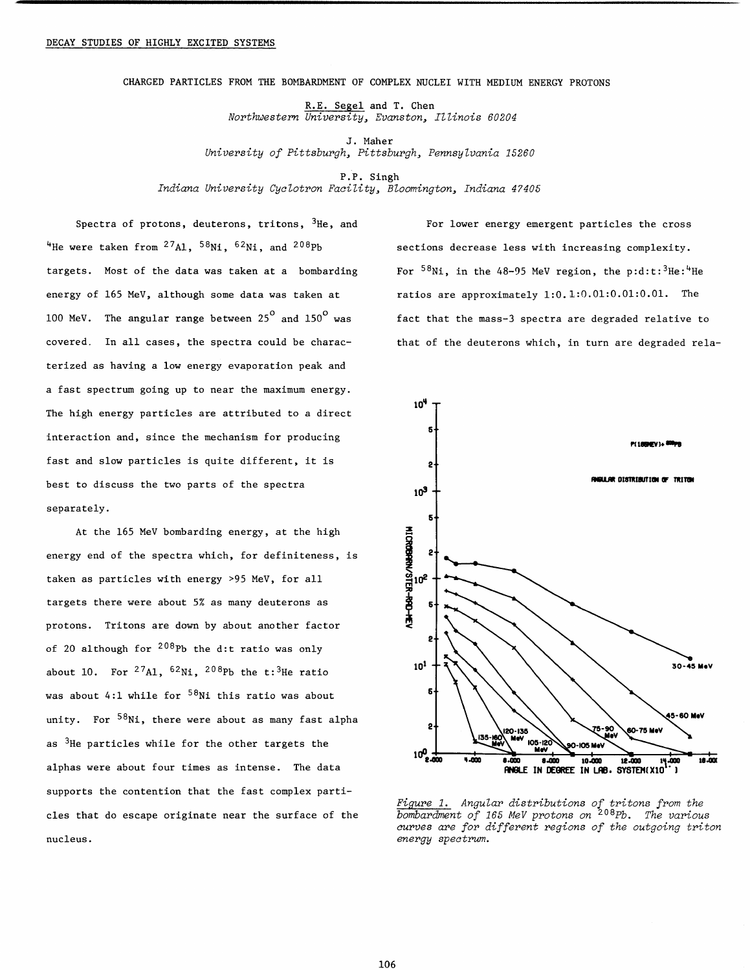CHARGED PARTICLES FROM THE BOPIBARDMENT OF COMPLEX NUCLEI WITH MEDIUM ENERGY PROTONS

R.E. Segel and T. Chen *Northwestern University, Zvanston, Illinois 60204* 

J. Maher *University of Pittsburgh, Pittsburgh, Pennsylvania 15260* 

P.P. Singh

*Indiana University Cyclotron Facility, BZoomington, Indiana 4 7405* 

<sup>4</sup>He were taken from <sup>27</sup>A1, <sup>58</sup>N1, <sup>62</sup>Ni, and <sup>208</sup>Pb sections decrease less with increasing complexity. targets. Most of the data was taken at a bombarding For  $58Ni$ , in the 48-95 MeV region, the p:d:t: $3He : ^4He$ energy of 165 MeV, although some data was taken at ratios are approximately 1:0.1:0.01:0.01:0.01. The covered. In all cases, the spectra could be charac- that of the deuterons which, in turn are degraded relaterized as having a low energy evaporation peak and a fast spectrum going up to near the maximum energy. The high energy particles are attributed to a direct interaction and, since the mechanism for producing fast and slow particles is quite different, it is best to discuss the two parts of the spectra separately.

At the 165 MeV bombarding energy, at the high energy end of the spectra which, for definiteness, is taken as particles with energy >95 MeV, for all targets there were about 5% as many deuterons as protons. Tritons are down by about another factor of 20 although for  $208Pb$  the d: t ratio was only about 10. For  $^{27}$ A1,  $^{62}$ Ni,  $^{208}$ Pb the t: 3<sup>He</sup> ratio was about 4:1 while for  $58$ Ni this ratio was about unity. For  $58$ Ni, there were about as many fast alpha as  $3H$ e particles while for the other targets the alphas were about four times as intense. The data supports the contention that the fast complex particles that do escape originate near the surface of the nucleus.

Spectra of protons, deuterons, tritons,  ${}^{3}$ He, and For lower energy emergent particles the cross 100 MeV. The angular range between  $25^{\circ}$  and  $150^{\circ}$  was fact that the mass-3 spectra are degraded relative to



*Figure I. Angular distributions of tritons from the bombardment of 165 MeV protons on 208~b. The various curves are for different regions of the outgoing triton energy spectrum.*